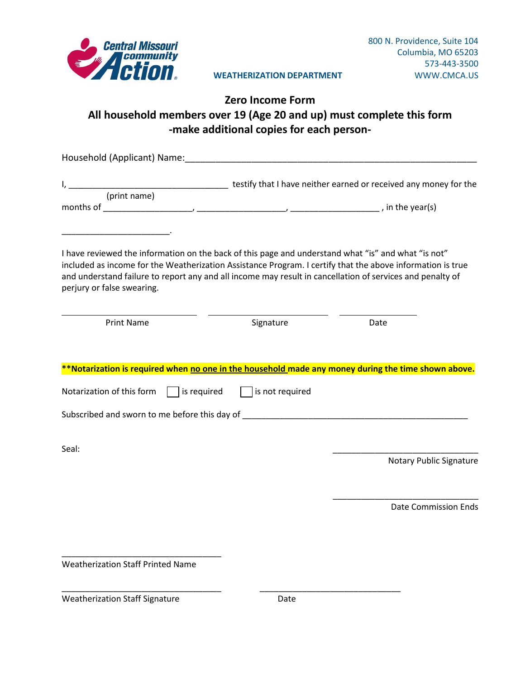

#### **WEATHERIZATION DEPARTMENT** WWW.CMCA.US

## **Zero Income Form All household members over 19 (Age 20 and up) must complete this form -make additional copies for each person-**

| Household (Applicant) Name: Manner All Allen Annual Account Account Account Account Account Account Account Account Account Account Account Account Account Account Account Account Account Account Account Account Account Ac                                                                                                                                                                                                                                                         |                 |                                |
|----------------------------------------------------------------------------------------------------------------------------------------------------------------------------------------------------------------------------------------------------------------------------------------------------------------------------------------------------------------------------------------------------------------------------------------------------------------------------------------|-----------------|--------------------------------|
|                                                                                                                                                                                                                                                                                                                                                                                                                                                                                        |                 |                                |
| <u> 1999 - Johann John Harry Harry Harry Harry Harry Harry Harry Harry Harry Harry Harry Harry Harry Harry Harry H</u><br>I have reviewed the information on the back of this page and understand what "is" and what "is not"<br>included as income for the Weatherization Assistance Program. I certify that the above information is true<br>and understand failure to report any and all income may result in cancellation of services and penalty of<br>perjury or false swearing. |                 |                                |
| <b>Print Name</b>                                                                                                                                                                                                                                                                                                                                                                                                                                                                      | Signature       | Date                           |
| **Notarization is required when no one in the household made any money during the time shown above.<br>Notarization of this form $\Box$ is required<br>Subscribed and sworn to me before this day of __________________________________                                                                                                                                                                                                                                                | is not required |                                |
| Seal:                                                                                                                                                                                                                                                                                                                                                                                                                                                                                  |                 | <b>Notary Public Signature</b> |
|                                                                                                                                                                                                                                                                                                                                                                                                                                                                                        |                 | <b>Date Commission Ends</b>    |
| <b>Weatherization Staff Printed Name</b>                                                                                                                                                                                                                                                                                                                                                                                                                                               |                 |                                |
| <b>Weatherization Staff Signature</b>                                                                                                                                                                                                                                                                                                                                                                                                                                                  | Date            |                                |